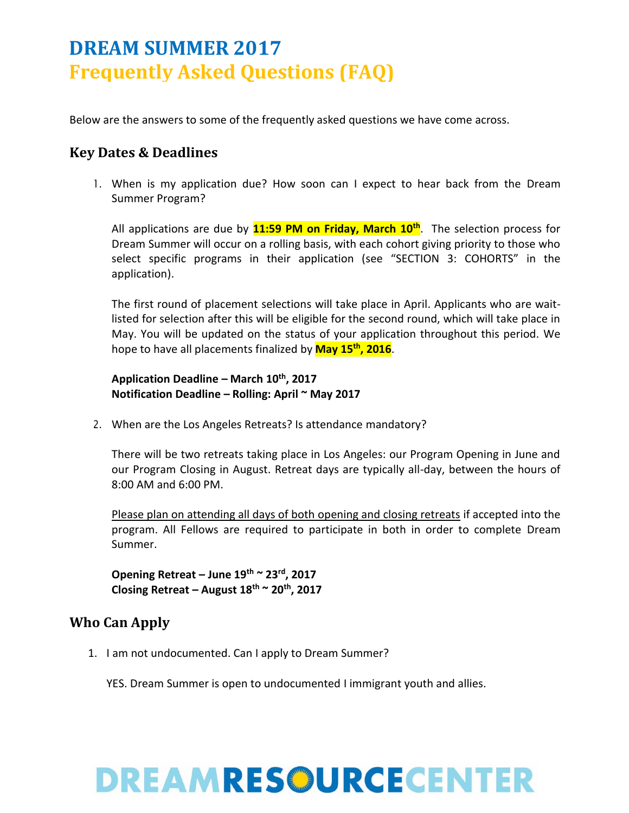Below are the answers to some of the frequently asked questions we have come across.

### **Key Dates & Deadlines**

1. When is my application due? How soon can I expect to hear back from the Dream Summer Program?

All applications are due by **11:59 PM on Friday, March 10th**. The selection process for Dream Summer will occur on a rolling basis, with each cohort giving priority to those who select specific programs in their application (see "SECTION 3: COHORTS" in the application).

The first round of placement selections will take place in April. Applicants who are waitlisted for selection after this will be eligible for the second round, which will take place in May. You will be updated on the status of your application throughout this period. We hope to have all placements finalized by **May 15th, 2016**.

**Application Deadline – March 10th, 2017 Notification Deadline – Rolling: April ~ May 2017** 

2. When are the Los Angeles Retreats? Is attendance mandatory?

There will be two retreats taking place in Los Angeles: our Program Opening in June and our Program Closing in August. Retreat days are typically all-day, between the hours of 8:00 AM and 6:00 PM.

Please plan on attending all days of both opening and closing retreats if accepted into the program. All Fellows are required to participate in both in order to complete Dream Summer.

**Opening Retreat – June 19th ~ 23rd, 2017 Closing Retreat – August 18th ~ 20th, 2017**

### **Who Can Apply**

1. I am not undocumented. Can I apply to Dream Summer?

YES. Dream Summer is open to undocumented I immigrant youth and allies.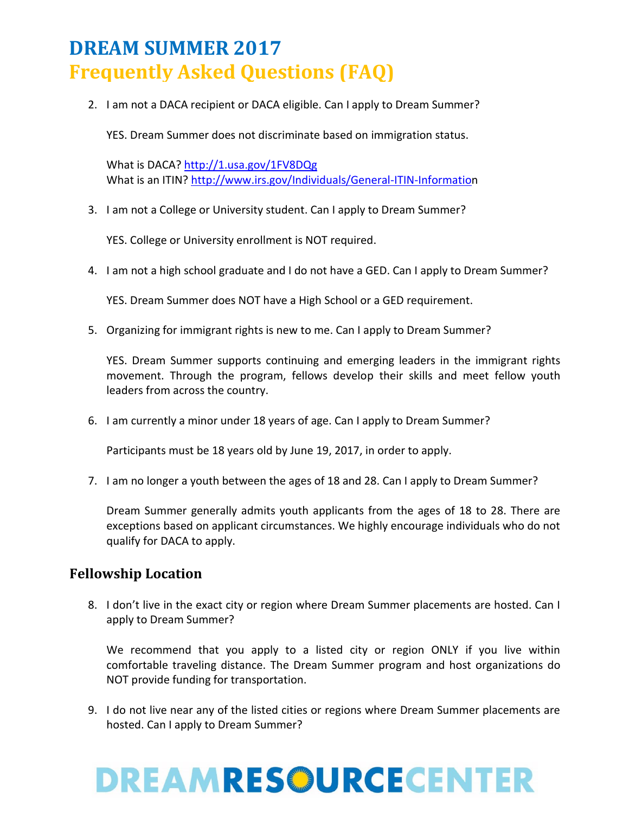2. I am not a DACA recipient or DACA eligible. Can I apply to Dream Summer?

YES. Dream Summer does not discriminate based on immigration status.

What is DACA?<http://1.usa.gov/1FV8DQg> What is an ITIN?<http://www.irs.gov/Individuals/General-ITIN-Information>

3. I am not a College or University student. Can I apply to Dream Summer?

YES. College or University enrollment is NOT required.

4. I am not a high school graduate and I do not have a GED. Can I apply to Dream Summer?

YES. Dream Summer does NOT have a High School or a GED requirement.

5. Organizing for immigrant rights is new to me. Can I apply to Dream Summer?

YES. Dream Summer supports continuing and emerging leaders in the immigrant rights movement. Through the program, fellows develop their skills and meet fellow youth leaders from across the country.

6. I am currently a minor under 18 years of age. Can I apply to Dream Summer?

Participants must be 18 years old by June 19, 2017, in order to apply.

7. I am no longer a youth between the ages of 18 and 28. Can I apply to Dream Summer?

Dream Summer generally admits youth applicants from the ages of 18 to 28. There are exceptions based on applicant circumstances. We highly encourage individuals who do not qualify for DACA to apply.

#### **Fellowship Location**

8. I don't live in the exact city or region where Dream Summer placements are hosted. Can I apply to Dream Summer?

We recommend that you apply to a listed city or region ONLY if you live within comfortable traveling distance. The Dream Summer program and host organizations do NOT provide funding for transportation.

9. I do not live near any of the listed cities or regions where Dream Summer placements are hosted. Can I apply to Dream Summer?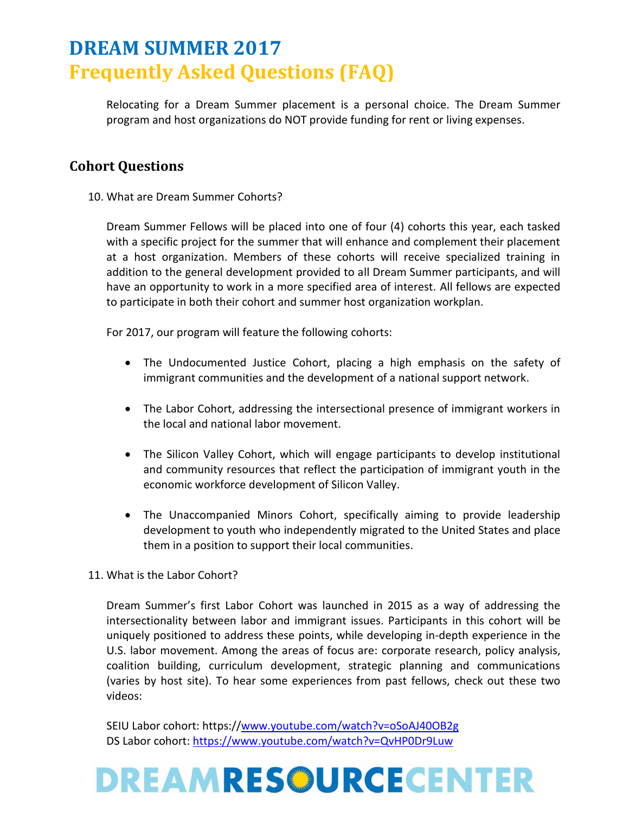Relocating for a Dream Summer placement is a personal choice. The Dream Summer program and host organizations do NOT provide funding for rent or living expenses.

### **Cohort Questions**

10. What are Dream Summer Cohorts?

Dream Summer Fellows will be placed into one of four (4) cohorts this year, each tasked with a specific project for the summer that will enhance and complement their placement at a host organization. Members of these cohorts will receive specialized training in addition to the general development provided to all Dream Summer participants, and will have an opportunity to work in a more specified area of interest. All fellows are expected to participate in both their cohort and summer host organization workplan.

For 2017, our program will feature the following cohorts:

- The Undocumented Justice Cohort, placing a high emphasis on the safety of immigrant communities and the development of a national support network.
- The Labor Cohort, addressing the intersectional presence of immigrant workers in the local and national labor movement.
- The Silicon Valley Cohort, which will engage participants to develop institutional and community resources that reflect the participation of immigrant youth in the economic workforce development of Silicon Valley.
- The Unaccompanied Minors Cohort, specifically aiming to provide leadership development to youth who independently migrated to the United States and place them in a position to support their local communities.
- 11. What is the Labor Cohort?

Dream Summer's first Labor Cohort was launched in 2015 as a way of addressing the intersectionality between labor and immigrant issues. Participants in this cohort will be uniquely positioned to address these points, while developing in-depth experience in the U.S. labor movement. Among the areas of focus are: corporate research, policy analysis, coalition building, curriculum development, strategic planning and communications (varies by host site). To hear some experiences from past fellows, check out these two videos:

SEIU Labor cohort: https:/[/www.youtube.com/watch?v=oSoAJ40OB2g](http://www.youtube.com/watch?v=oSoAJ40OB2g) DS Labor cohort: [https://www.youtube.com/watch?v=QvHP0Dr9Luw](http://www.youtube.com/watch?v=QvHP0Dr9Luw)

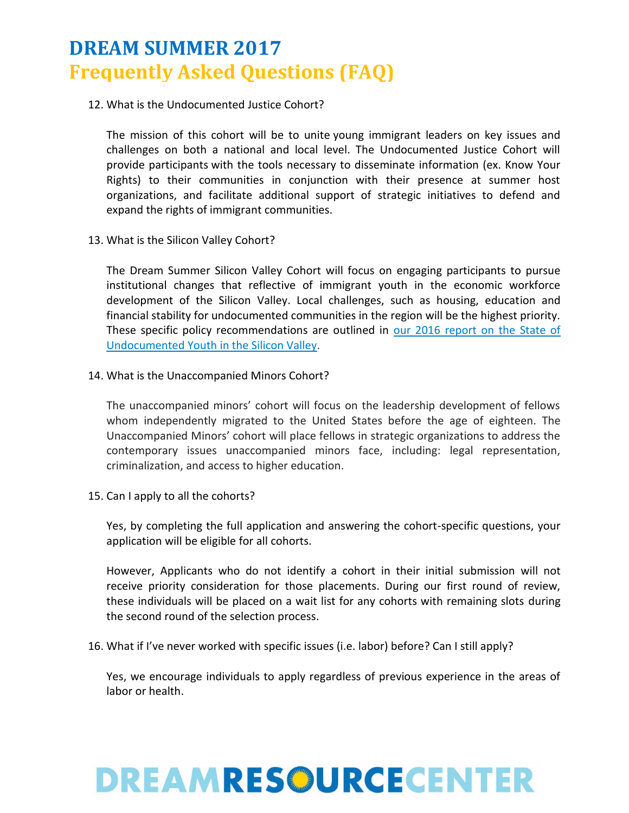12. What is the Undocumented Justice Cohort?

The mission of this cohort will be to unite young immigrant leaders on key issues and challenges on both a national and local level. The Undocumented Justice Cohort will provide participants with the tools necessary to disseminate information (ex. Know Your Rights) to their communities in conjunction with their presence at summer host organizations, and facilitate additional support of strategic initiatives to defend and expand the rights of immigrant communities.

13. What is the Silicon Valley Cohort?

The Dream Summer Silicon Valley Cohort will focus on engaging participants to pursue institutional changes that reflective of immigrant youth in the economic workforce development of the Silicon Valley. Local challenges, such as housing, education and financial stability for undocumented communities in the region will be the highest priority. These specific policy recommendations are outlined in [our 2016 report on the State of](http://www.labor.ucla.edu/downloads/ucla_silicon_valley_report_web_rev5-1-pdf/)  [Undocumented Youth in the Silicon Valley.](http://www.labor.ucla.edu/downloads/ucla_silicon_valley_report_web_rev5-1-pdf/)

14. What is the Unaccompanied Minors Cohort?

The unaccompanied minors' cohort will focus on the leadership development of fellows whom independently migrated to the United States before the age of eighteen. The Unaccompanied Minors' cohort will place fellows in strategic organizations to address the contemporary issues unaccompanied minors face, including: legal representation, criminalization, and access to higher education.

15. Can I apply to all the cohorts?

Yes, by completing the full application and answering the cohort-specific questions, your application will be eligible for all cohorts.

However, Applicants who do not identify a cohort in their initial submission will not receive priority consideration for those placements. During our first round of review, these individuals will be placed on a wait list for any cohorts with remaining slots during the second round of the selection process.

16. What if I've never worked with specific issues (i.e. labor) before? Can I still apply?

Yes, we encourage individuals to apply regardless of previous experience in the areas of labor or health.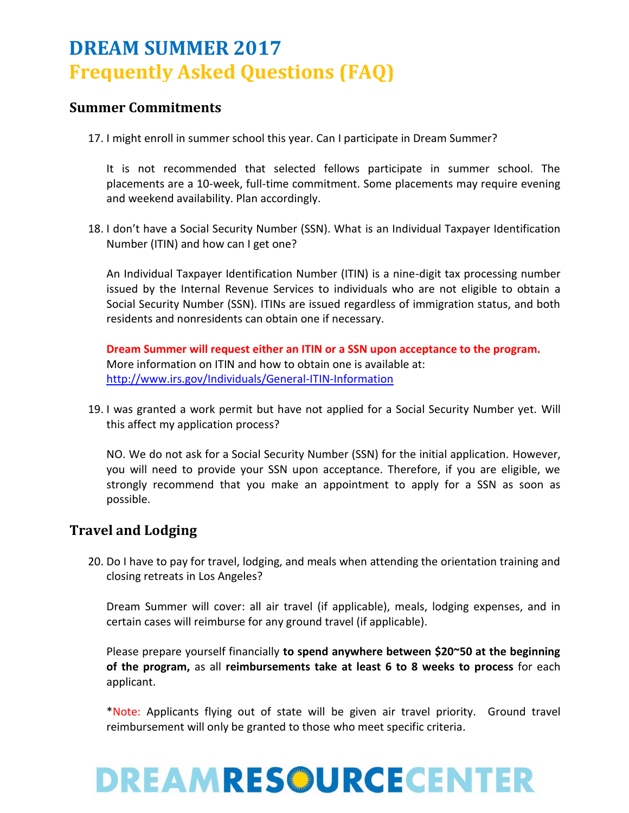#### **Summer Commitments**

17. I might enroll in summer school this year. Can I participate in Dream Summer?

It is not recommended that selected fellows participate in summer school. The placements are a 10-week, full-time commitment. Some placements may require evening and weekend availability. Plan accordingly.

18. I don't have a Social Security Number (SSN). What is an Individual Taxpayer Identification Number (ITIN) and how can I get one?

An Individual Taxpayer Identification Number (ITIN) is a nine-digit tax processing number issued by the Internal Revenue Services to individuals who are not eligible to obtain a Social Security Number (SSN). ITINs are issued regardless of immigration status, and both residents and nonresidents can obtain one if necessary.

**Dream Summer will request either an ITIN or a SSN upon acceptance to the program.**  More information on ITIN and how to obtain one is available at: <http://www.irs.gov/Individuals/General-ITIN-Information>

19. I was granted a work permit but have not applied for a Social Security Number yet. Will this affect my application process?

NO. We do not ask for a Social Security Number (SSN) for the initial application. However, you will need to provide your SSN upon acceptance. Therefore, if you are eligible, we strongly recommend that you make an appointment to apply for a SSN as soon as possible.

### **Travel and Lodging**

20. Do I have to pay for travel, lodging, and meals when attending the orientation training and closing retreats in Los Angeles?

Dream Summer will cover: all air travel (if applicable), meals, lodging expenses, and in certain cases will reimburse for any ground travel (if applicable).

Please prepare yourself financially **to spend anywhere between \$20~50 at the beginning of the program,** as all **reimbursements take at least 6 to 8 weeks to process** for each applicant.

\*Note: Applicants flying out of state will be given air travel priority. Ground travel reimbursement will only be granted to those who meet specific criteria.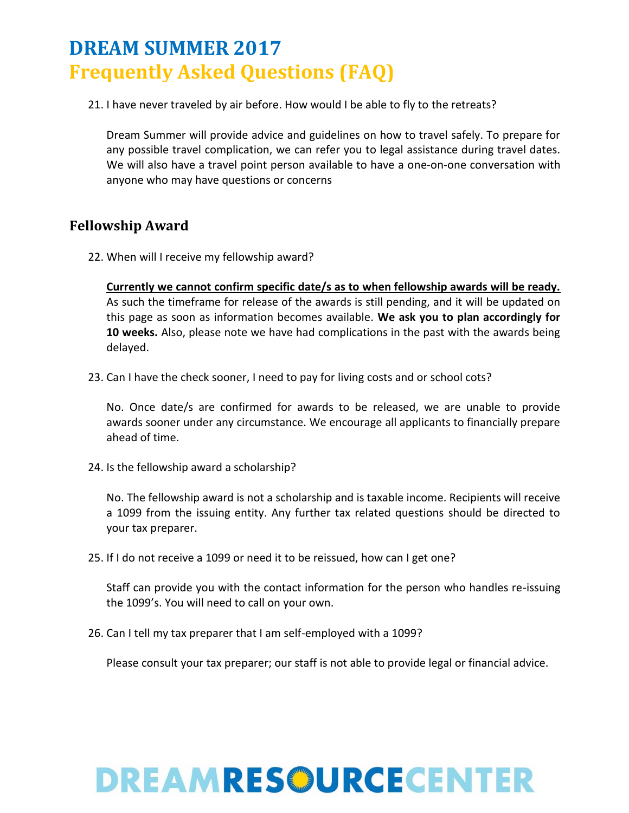21. I have never traveled by air before. How would I be able to fly to the retreats?

Dream Summer will provide advice and guidelines on how to travel safely. To prepare for any possible travel complication, we can refer you to legal assistance during travel dates. We will also have a travel point person available to have a one-on-one conversation with anyone who may have questions or concerns

### **Fellowship Award**

22. When will I receive my fellowship award?

**Currently we cannot confirm specific date/s as to when fellowship awards will be ready.**  As such the timeframe for release of the awards is still pending, and it will be updated on this page as soon as information becomes available. **We ask you to plan accordingly for 10 weeks.** Also, please note we have had complications in the past with the awards being delayed.

23. Can I have the check sooner, I need to pay for living costs and or school cots?

No. Once date/s are confirmed for awards to be released, we are unable to provide awards sooner under any circumstance. We encourage all applicants to financially prepare ahead of time.

24. Is the fellowship award a scholarship?

No. The fellowship award is not a scholarship and is taxable income. Recipients will receive a 1099 from the issuing entity. Any further tax related questions should be directed to your tax preparer.

25. If I do not receive a 1099 or need it to be reissued, how can I get one?

Staff can provide you with the contact information for the person who handles re-issuing the 1099's. You will need to call on your own.

26. Can I tell my tax preparer that I am self-employed with a 1099?

Please consult your tax preparer; our staff is not able to provide legal or financial advice.